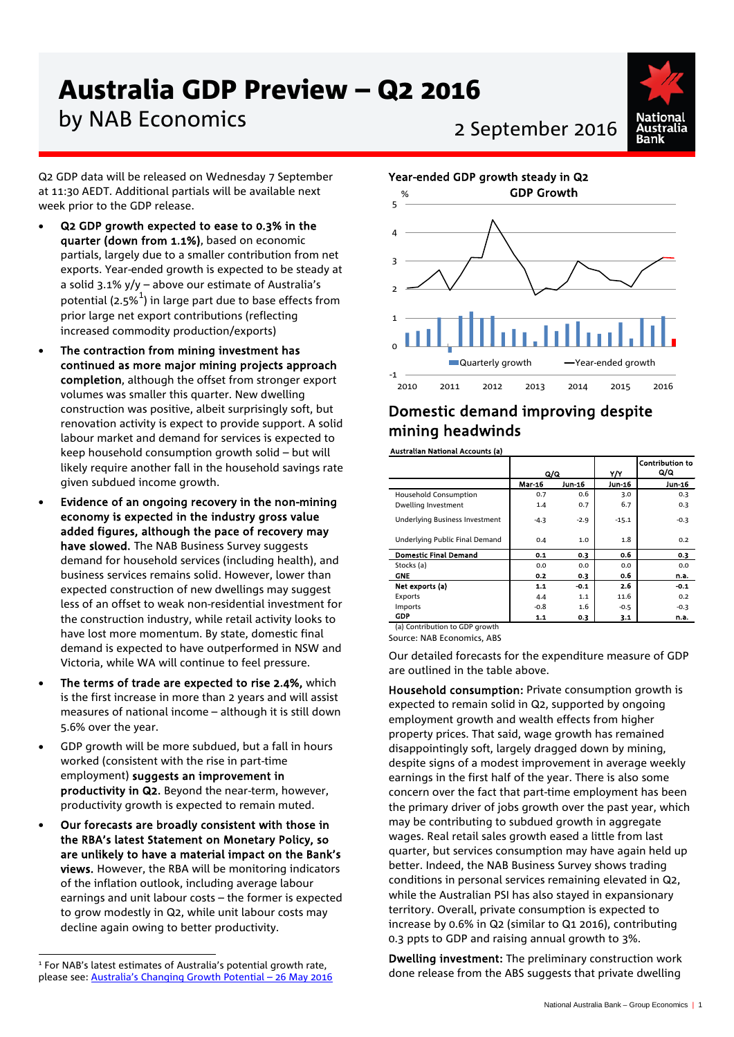# Australia GDP Preview – Q2 2016

# by NAB Economics<br>2 September 2016

Q2 GDP data will be released on Wednesday 7 September at 11:30 AEDT. Additional partials will be available next week prior to the GDP release.

- Q2 GDP growth expected to ease to 0.3% in the quarter (down from 1.1%), based on economic partials, largely due to a smaller contribution from net exports. Year-ended growth is expected to be steady at a solid 3.1% y/y – above our estimate of Australia's potential (2.5% $^{\mathrm{1}}$  $^{\mathrm{1}}$  $^{\mathrm{1}}$ ) in large part due to base effects from prior large net export contributions (reflecting increased commodity production/exports)
- The contraction from mining investment has continued as more major mining projects approach completion, although the offset from stronger export volumes was smaller this quarter. New dwelling construction was positive, albeit surprisingly soft, but renovation activity is expect to provide support. A solid labour market and demand for services is expected to keep household consumption growth solid – but will likely require another fall in the household savings rate given subdued income growth.
- Evidence of an ongoing recovery in the non-mining economy is expected in the industry gross value added figures, although the pace of recovery may have slowed. The NAB Business Survey suggests demand for household services (including health), and business services remains solid. However, lower than expected construction of new dwellings may suggest less of an offset to weak non-residential investment for the construction industry, while retail activity looks to have lost more momentum. By state, domestic final demand is expected to have outperformed in NSW and Victoria, while WA will continue to feel pressure.
- The terms of trade are expected to rise 2.4%, which is the first increase in more than 2 years and will assist measures of national income – although it is still down 5.6% over the year.
- GDP growth will be more subdued, but a fall in hours worked (consistent with the rise in part-time employment) suggests an improvement in productivity in Q2. Beyond the near-term, however, productivity growth is expected to remain muted.
- Our forecasts are broadly consistent with those in the RBA's latest Statement on Monetary Policy, so are unlikely to have a material impact on the Bank's views. However, the RBA will be monitoring indicators of the inflation outlook, including average labour earnings and unit labour costs – the former is expected to grow modestly in Q2, while unit labour costs may decline again owing to better productivity.



# Domestic demand improving despite mining headwinds

Australian National Accounts (a)

|                                | Q/Q           |        | YN      | <b>Contribution to</b><br>Q/Q |
|--------------------------------|---------------|--------|---------|-------------------------------|
|                                | <b>Mar-16</b> | Jun-16 | Jun-16  | Jun-16                        |
| Household Consumption          | 0.7           | 0.6    | 3.0     | 0.3                           |
| Dwelling Investment            | 1.4           | 0.7    | 6.7     | 0.3                           |
| Underlying Business Investment | $-4.3$        | $-2.9$ | $-15.1$ | $-0.3$                        |
| Underlying Public Final Demand | 0.4           | 1.0    | 1.8     | 0.2                           |
| <b>Domestic Final Demand</b>   | 0.1           | 0.3    | 0.6     | 0.3                           |
| Stocks (a)                     | 0.0           | 0.0    | 0.0     | 0.0                           |
| <b>GNE</b>                     | 0.2           | 0.3    | 0.6     | n.a.                          |
| Net exports (a)                | 1.1           | $-0.1$ | 2.6     | $-0.1$                        |
| Exports                        | 4.4           | 1.1    | 11.6    | 0.2                           |
| Imports                        | $-0.8$        | 1.6    | $-0.5$  | $-0.3$                        |
| GDP                            | 1.1           | 0.3    | 3.1     | n.a.                          |
| (a) Contribution to GDP growth |               |        |         |                               |

Source: NAB Economics, ABS

Our detailed forecasts for the expenditure measure of GDP are outlined in the table above.

Household consumption: Private consumption growth is expected to remain solid in Q2, supported by ongoing employment growth and wealth effects from higher property prices. That said, wage growth has remained disappointingly soft, largely dragged down by mining, despite signs of a modest improvement in average weekly earnings in the first half of the year. There is also some concern over the fact that part-time employment has been the primary driver of jobs growth over the past year, which may be contributing to subdued growth in aggregate wages. Real retail sales growth eased a little from last quarter, but services consumption may have again held up better. Indeed, the NAB Business Survey shows trading conditions in personal services remaining elevated in Q2, while the Australian PSI has also stayed in expansionary territory. Overall, private consumption is expected to increase by 0.6% in Q2 (similar to Q1 2016), contributing 0.3 ppts to GDP and raising annual growth to 3%.

Dwelling investment: The preliminary construction work done release from the ABS suggests that private dwelling

<span id="page-0-0"></span>j  $1$  For NAB's latest estimates of Australia's potential growth rate, please see: [Australia's Changing Growth Potential –](http://business.nab.com.au/australias-changing-growth-potential-26-may-2016-16983/) 26 May 2016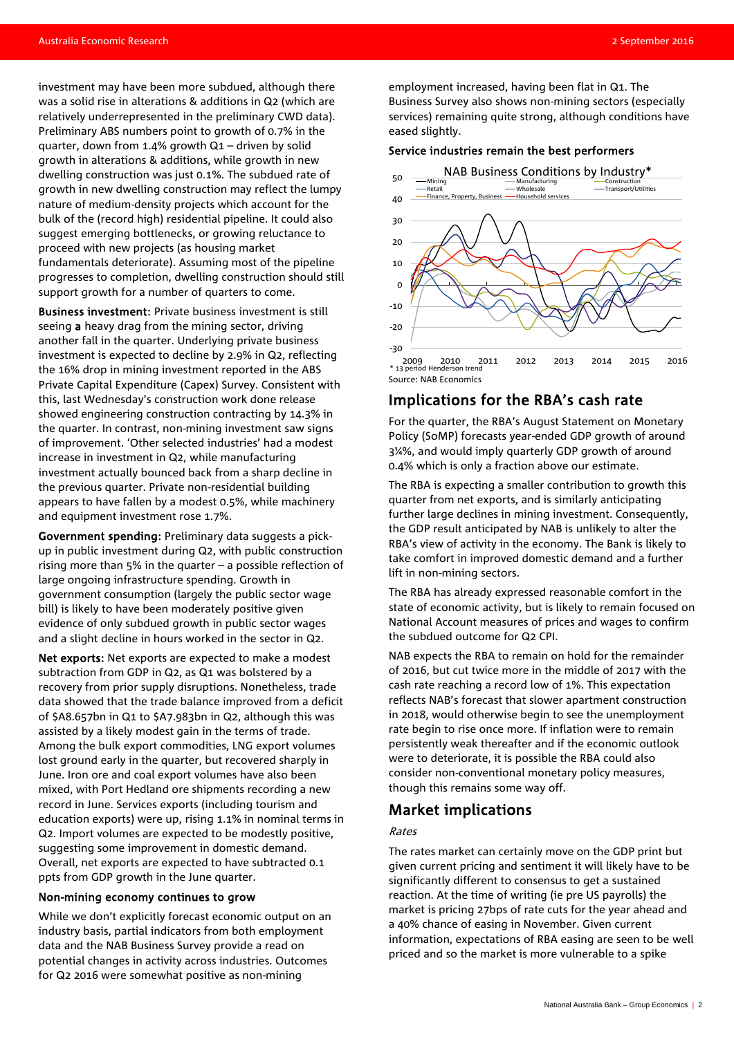investment may have been more subdued, although there was a solid rise in alterations & additions in Q2 (which are relatively underrepresented in the preliminary CWD data). Preliminary ABS numbers point to growth of 0.7% in the quarter, down from 1.4% growth Q1 – driven by solid growth in alterations & additions, while growth in new dwelling construction was just 0.1%. The subdued rate of growth in new dwelling construction may reflect the lumpy nature of medium-density projects which account for the bulk of the (record high) residential pipeline. It could also suggest emerging bottlenecks, or growing reluctance to proceed with new projects (as housing market fundamentals deteriorate). Assuming most of the pipeline progresses to completion, dwelling construction should still support growth for a number of quarters to come.

Business investment: Private business investment is still seeing a heavy drag from the mining sector, driving another fall in the quarter. Underlying private business investment is expected to decline by 2.9% in Q2, reflecting the 16% drop in mining investment reported in the ABS Private Capital Expenditure (Capex) Survey. Consistent with this, last Wednesday's construction work done release showed engineering construction contracting by 14.3% in the quarter. In contrast, non-mining investment saw signs of improvement. 'Other selected industries' had a modest increase in investment in Q2, while manufacturing investment actually bounced back from a sharp decline in the previous quarter. Private non-residential building appears to have fallen by a modest 0.5%, while machinery and equipment investment rose 1.7%.

Government spending: Preliminary data suggests a pickup in public investment during Q2, with public construction rising more than 5% in the quarter – a possible reflection of large ongoing infrastructure spending. Growth in government consumption (largely the public sector wage bill) is likely to have been moderately positive given evidence of only subdued growth in public sector wages and a slight decline in hours worked in the sector in Q2.

Net exports: Net exports are expected to make a modest subtraction from GDP in Q2, as Q1 was bolstered by a recovery from prior supply disruptions. Nonetheless, trade data showed that the trade balance improved from a deficit of \$A8.657bn in Q1 to \$A7.983bn in Q2, although this was assisted by a likely modest gain in the terms of trade. Among the bulk export commodities, LNG export volumes lost ground early in the quarter, but recovered sharply in June. Iron ore and coal export volumes have also been mixed, with Port Hedland ore shipments recording a new record in June. Services exports (including tourism and education exports) were up, rising 1.1% in nominal terms in Q2. Import volumes are expected to be modestly positive, suggesting some improvement in domestic demand. Overall, net exports are expected to have subtracted 0.1 ppts from GDP growth in the June quarter.

#### Non-mining economy continues to grow

While we don't explicitly forecast economic output on an industry basis, partial indicators from both employment data and the NAB Business Survey provide a read on potential changes in activity across industries. Outcomes for Q2 2016 were somewhat positive as non-mining

employment increased, having been flat in Q1. The Business Survey also shows non-mining sectors (especially services) remaining quite strong, although conditions have eased slightly.

#### Service industries remain the best performers



## Implications for the RBA's cash rate

For the quarter, the RBA's August Statement on Monetary Policy (SoMP) forecasts year-ended GDP growth of around 3¼%, and would imply quarterly GDP growth of around 0.4% which is only a fraction above our estimate.

The RBA is expecting a smaller contribution to growth this quarter from net exports, and is similarly anticipating further large declines in mining investment. Consequently, the GDP result anticipated by NAB is unlikely to alter the RBA's view of activity in the economy. The Bank is likely to take comfort in improved domestic demand and a further lift in non-mining sectors.

The RBA has already expressed reasonable comfort in the state of economic activity, but is likely to remain focused on National Account measures of prices and wages to confirm the subdued outcome for Q2 CPI.

NAB expects the RBA to remain on hold for the remainder of 2016, but cut twice more in the middle of 2017 with the cash rate reaching a record low of 1%. This expectation reflects NAB's forecast that slower apartment construction in 2018, would otherwise begin to see the unemployment rate begin to rise once more. If inflation were to remain persistently weak thereafter and if the economic outlook were to deteriorate, it is possible the RBA could also consider non-conventional monetary policy measures, though this remains some way off.

### Market implications

### Rates

The rates market can certainly move on the GDP print but given current pricing and sentiment it will likely have to be significantly different to consensus to get a sustained reaction. At the time of writing (ie pre US payrolls) the market is pricing 27bps of rate cuts for the year ahead and a 40% chance of easing in November. Given current information, expectations of RBA easing are seen to be well priced and so the market is more vulnerable to a spike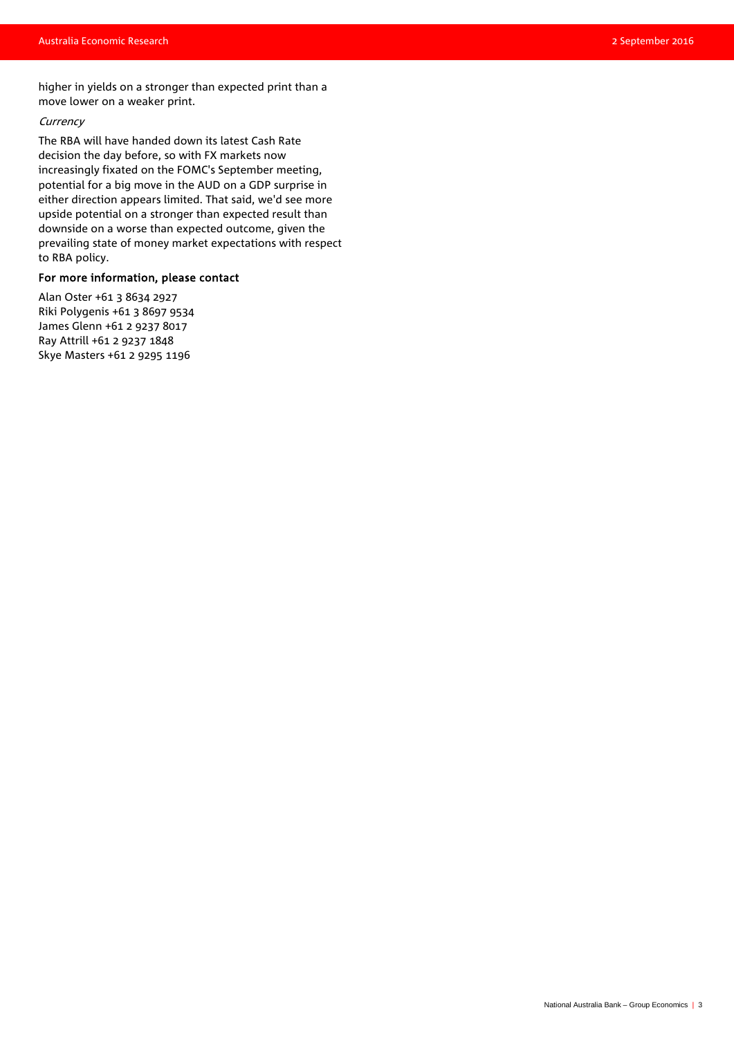higher in yields on a stronger than expected print than a move lower on a weaker print.

### **Currency**

The RBA will have handed down its latest Cash Rate decision the day before, so with FX markets now increasingly fixated on the FOMC's September meeting, potential for a big move in the AUD on a GDP surprise in either direction appears limited. That said, we'd see more upside potential on a stronger than expected result than downside on a worse than expected outcome, given the prevailing state of money market expectations with respect to RBA policy.

### For more information, please contact

Alan Oster +61 3 8634 2927 Riki Polygenis +61 3 8697 9534 James Glenn +61 2 9237 8017 Ray Attrill +61 2 9237 1848 Skye Masters +61 2 9295 1196